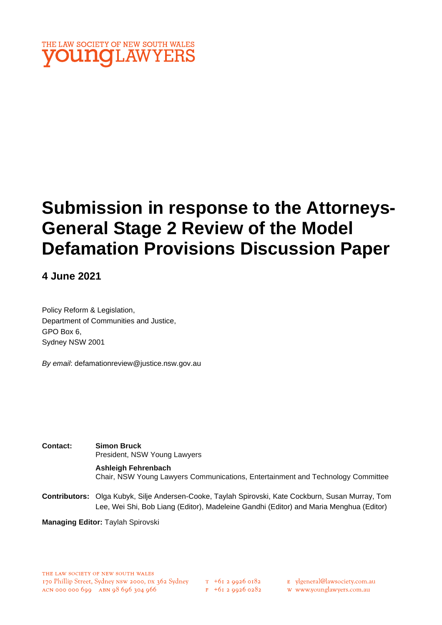

# **Submission in response to the Attorneys-General Stage 2 Review of the Model Defamation Provisions Discussion Paper**

## **4 June 2021**

Policy Reform & Legislation, Department of Communities and Justice, GPO Box 6, Sydney NSW 2001

*By email*: defamationreview@justice.nsw.gov.au

**Contact: Simon Bruck** President, NSW Young Lawyers

> **Ashleigh Fehrenbach** Chair, NSW Young Lawyers Communications, Entertainment and Technology Committee

**Contributors:** Olga Kubyk, Silje Andersen-Cooke, Taylah Spirovski, Kate Cockburn, Susan Murray, Tom Lee, Wei Shi, Bob Liang (Editor), Madeleine Gandhi (Editor) and Maria Menghua (Editor)

**Managing Editor:** Taylah Spirovski

 $T_{+61}$  2 9926 0182  $F$  +61 2 9926 0282 E ylgeneral@lawsociety.com.au

w www.younglawyers.com.au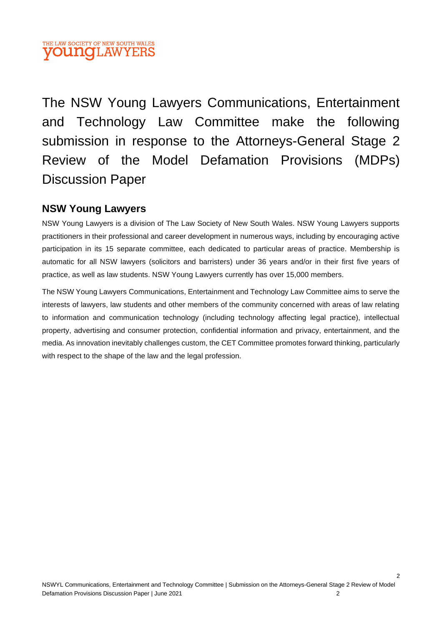## THE LAW SOCIETY OF NEW SOUTH WALES **OUNGLAW**

The NSW Young Lawyers Communications, Entertainment and Technology Law Committee make the following submission in response to the Attorneys-General Stage 2 Review of the Model Defamation Provisions (MDPs) Discussion Paper

## **NSW Young Lawyers**

NSW Young Lawyers is a division of The Law Society of New South Wales. NSW Young Lawyers supports practitioners in their professional and career development in numerous ways, including by encouraging active participation in its 15 separate committee, each dedicated to particular areas of practice. Membership is automatic for all NSW lawyers (solicitors and barristers) under 36 years and/or in their first five years of practice, as well as law students. NSW Young Lawyers currently has over 15,000 members.

The NSW Young Lawyers Communications, Entertainment and Technology Law Committee aims to serve the interests of lawyers, law students and other members of the community concerned with areas of law relating to information and communication technology (including technology affecting legal practice), intellectual property, advertising and consumer protection, confidential information and privacy, entertainment, and the media. As innovation inevitably challenges custom, the CET Committee promotes forward thinking, particularly with respect to the shape of the law and the legal profession.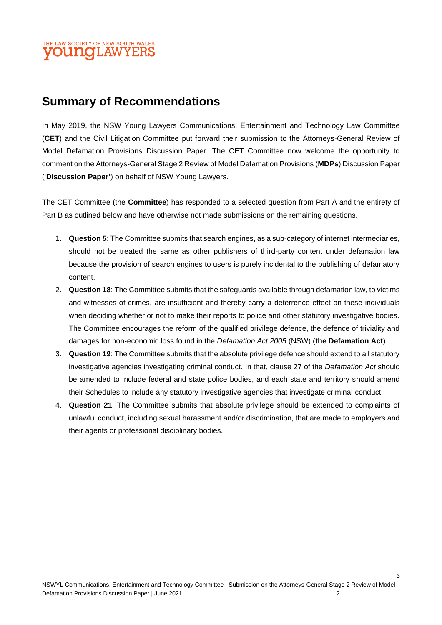### E LAW SOCIETY OF NEW SOUTH WALES **OUITOLAWYEI**

# **Summary of Recommendations**

In May 2019, the NSW Young Lawyers Communications, Entertainment and Technology Law Committee (**CET**) and the Civil Litigation Committee put forward their submission to the Attorneys-General Review of Model Defamation Provisions Discussion Paper. The CET Committee now welcome the opportunity to comment on the Attorneys-General Stage 2 Review of Model Defamation Provisions (**MDPs**) Discussion Paper ('**Discussion Paper'**) on behalf of NSW Young Lawyers.

The CET Committee (the **Committee**) has responded to a selected question from Part A and the entirety of Part B as outlined below and have otherwise not made submissions on the remaining questions.

- 1. **Question 5**: The Committee submits that search engines, as a sub-category of internet intermediaries, should not be treated the same as other publishers of third-party content under defamation law because the provision of search engines to users is purely incidental to the publishing of defamatory content.
- 2. **Question 18**: The Committee submits that the safeguards available through defamation law, to victims and witnesses of crimes, are insufficient and thereby carry a deterrence effect on these individuals when deciding whether or not to make their reports to police and other statutory investigative bodies. The Committee encourages the reform of the qualified privilege defence, the defence of triviality and damages for non-economic loss found in the *Defamation Act 2005* (NSW) (**the Defamation Act**).
- 3. **Question 19**: The Committee submits that the absolute privilege defence should extend to all statutory investigative agencies investigating criminal conduct. In that, clause 27 of the *Defamation Act* should be amended to include federal and state police bodies, and each state and territory should amend their Schedules to include any statutory investigative agencies that investigate criminal conduct.
- 4. **Question 21**: The Committee submits that absolute privilege should be extended to complaints of unlawful conduct, including sexual harassment and/or discrimination, that are made to employers and their agents or professional disciplinary bodies.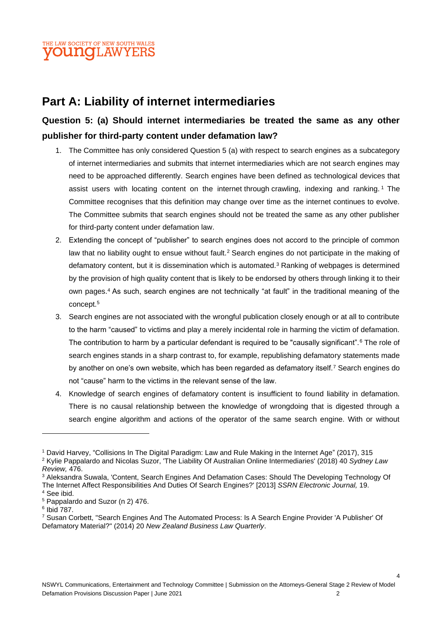

# **Part A: Liability of internet intermediaries**

## **Question 5: (a) Should internet intermediaries be treated the same as any other publisher for third-party content under defamation law?**

- 1. The Committee has only considered Question 5 (a) with respect to search engines as a subcategory of internet intermediaries and submits that internet intermediaries which are not search engines may need to be approached differently. Search engines have been defined as technological devices that assist users with locating content on the internet through crawling, indexing and ranking. <sup>1</sup> The Committee recognises that this definition may change over time as the internet continues to evolve. The Committee submits that search engines should not be treated the same as any other publisher for third-party content under defamation law.
- 2. Extending the concept of "publisher" to search engines does not accord to the principle of common law that no liability ought to ensue without fault.<sup>2</sup> Search engines do not participate in the making of defamatory content, but it is dissemination which is automated.<sup>3</sup> Ranking of webpages is determined by the provision of high quality content that is likely to be endorsed by others through linking it to their own pages.<sup>4</sup> As such, search engines are not technically "at fault" in the traditional meaning of the concept.<sup>5</sup>
- 3. Search engines are not associated with the wrongful publication closely enough or at all to contribute to the harm "caused" to victims and play a merely incidental role in harming the victim of defamation. The contribution to harm by a particular defendant is required to be "causally significant".<sup>6</sup> The role of search engines stands in a sharp contrast to, for example, republishing defamatory statements made by another on one's own website, which has been regarded as defamatory itself.<sup>7</sup> Search engines do not "cause" harm to the victims in the relevant sense of the law.
- 4. Knowledge of search engines of defamatory content is insufficient to found liability in defamation. There is no causal relationship between the knowledge of wrongdoing that is digested through a search engine algorithm and actions of the operator of the same search engine. With or without

<sup>1</sup> David Harvey, "Collisions In The Digital Paradigm: Law and Rule Making in the Internet Age" (2017), 315

<sup>2</sup> Kylie Pappalardo and Nicolas Suzor, 'The Liability Of Australian Online Intermediaries' (2018) 40 *Sydney Law Review,* 476.

<sup>3</sup> Aleksandra Suwala, 'Content, Search Engines And Defamation Cases: Should The Developing Technology Of The Internet Affect Responsibilities And Duties Of Search Engines?' [2013] *SSRN Electronic Journal,* 19. <sup>4</sup> See ibid.

<sup>5</sup> Pappalardo and Suzor (n 2) 476.

<sup>6</sup> Ibid 787.

<sup>7</sup> Susan Corbett, "Search Engines And The Automated Process: Is A Search Engine Provider 'A Publisher' Of Defamatory Material?" (2014) 20 *New Zealand Business Law Quarterly*.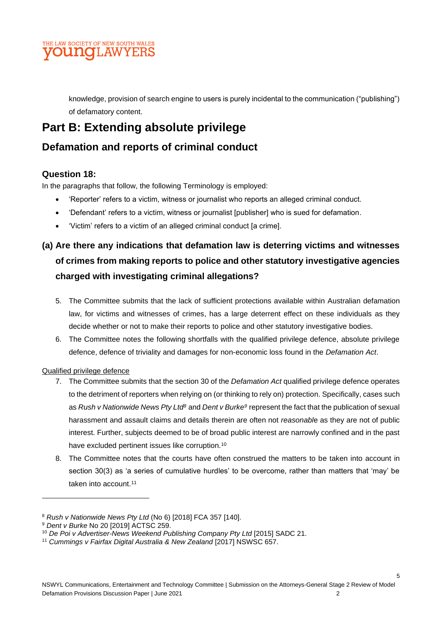

knowledge, provision of search engine to users is purely incidental to the communication ("publishing") of defamatory content.

# **Part B: Extending absolute privilege**

## **Defamation and reports of criminal conduct**

#### **Question 18:**

In the paragraphs that follow, the following Terminology is employed:

- 'Reporter' refers to a victim, witness or journalist who reports an alleged criminal conduct.
- 'Defendant' refers to a victim, witness or journalist [publisher] who is sued for defamation.
- 'Victim' refers to a victim of an alleged criminal conduct [a crime].

# **(a) Are there any indications that defamation law is deterring victims and witnesses of crimes from making reports to police and other statutory investigative agencies charged with investigating criminal allegations?**

- 5. The Committee submits that the lack of sufficient protections available within Australian defamation law, for victims and witnesses of crimes, has a large deterrent effect on these individuals as they decide whether or not to make their reports to police and other statutory investigative bodies.
- 6. The Committee notes the following shortfalls with the qualified privilege defence, absolute privilege defence, defence of triviality and damages for non-economic loss found in the *Defamation Act*.

#### Qualified privilege defence

- 7. The Committee submits that the section 30 of the *Defamation Act* qualified privilege defence operates to the detriment of reporters when relying on (or thinking to rely on) protection. Specifically, cases such as *Rush v Nationwide News Pty Ltd<sup>8</sup>* and *Dent v Burke<sup>9</sup>* represent the fact that the publication of sexual harassment and assault claims and details therein are often not *reasonabl*e as they are not of public interest. Further, subjects deemed to be of broad public interest are narrowly confined and in the past have excluded pertinent issues like corruption.<sup>10</sup>
- 8. The Committee notes that the courts have often construed the matters to be taken into account in section 30(3) as 'a series of cumulative hurdles' to be overcome, rather than matters that 'may' be taken into account.<sup>11</sup>

<sup>8</sup> *Rush v Nationwide News Pty Ltd* (No 6) [2018] FCA 357 [140].

<sup>9</sup> *Dent v Burke* No 20 [2019] ACTSC 259.

<sup>10</sup> *De Poi v Advertiser-News Weekend Publishing Company Pty Ltd* [2015] SADC 21.

<sup>11</sup> *Cummings v Fairfax Digital Australia & New Zealand* [2017] NSWSC 657.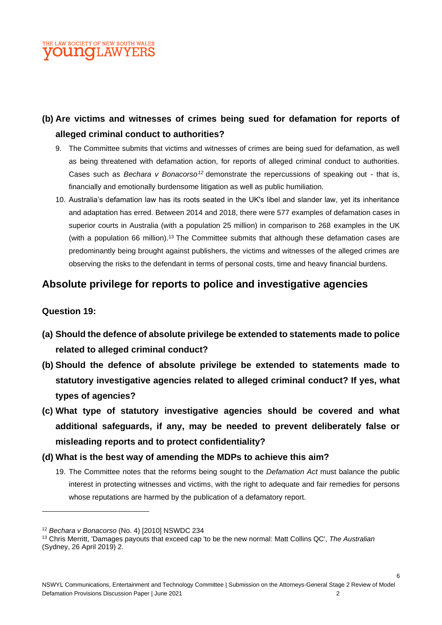## **IE LAW SOCIETY OF NEW SOUTH WALES OUNGLAW**

## **(b) Are victims and witnesses of crimes being sued for defamation for reports of alleged criminal conduct to authorities?**

- 9. The Committee submits that victims and witnesses of crimes are being sued for defamation, as well as being threatened with defamation action, for reports of alleged criminal conduct to authorities. Cases such as *Bechara v Bonacorso<sup>12</sup>* demonstrate the repercussions of speaking out - that is, financially and emotionally burdensome litigation as well as public humiliation.
- 10. Australia's defamation law has its roots seated in the UK's libel and slander law, yet its inheritance and adaptation has erred. Between 2014 and 2018, there were 577 examples of defamation cases in superior courts in Australia (with a population 25 million) in comparison to 268 examples in the UK (with a population 66 million).<sup>13</sup> The Committee submits that although these defamation cases are predominantly being brought against publishers, the victims and witnesses of the alleged crimes are observing the risks to the defendant in terms of personal costs, time and heavy financial burdens.

## **Absolute privilege for reports to police and investigative agencies**

#### **Question 19:**

- **(a) Should the defence of absolute privilege be extended to statements made to police related to alleged criminal conduct?**
- **(b) Should the defence of absolute privilege be extended to statements made to statutory investigative agencies related to alleged criminal conduct? If yes, what types of agencies?**
- **(c) What type of statutory investigative agencies should be covered and what additional safeguards, if any, may be needed to prevent deliberately false or misleading reports and to protect confidentiality?**
- **(d) What is the best way of amending the MDPs to achieve this aim?** 
	- 19. The Committee notes that the reforms being sought to the *Defamation Act* must balance the public interest in protecting witnesses and victims, with the right to adequate and fair remedies for persons whose reputations are harmed by the publication of a defamatory report.

<sup>12</sup> *Bechara v Bonacorso* (No. 4) [2010] NSWDC 234

<sup>13</sup> Chris Merritt, 'Damages payouts that exceed cap 'to be the new normal: Matt Collins QC', *The Australian* (Sydney, 26 April 2019) 2.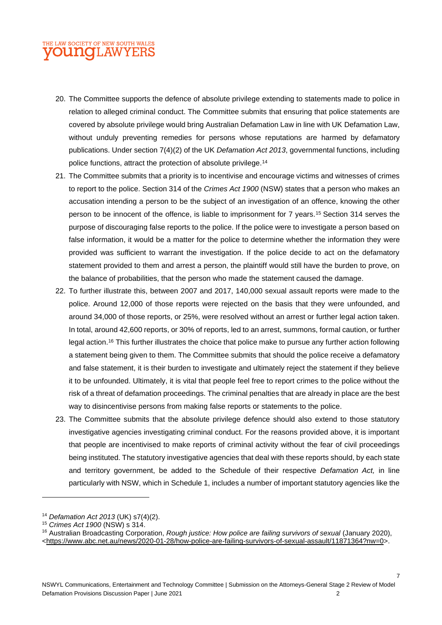## E LAW SOCIETY OF NEW SOUTH WALES **OUNGLAW**

- 20. The Committee supports the defence of absolute privilege extending to statements made to police in relation to alleged criminal conduct. The Committee submits that ensuring that police statements are covered by absolute privilege would bring Australian Defamation Law in line with UK Defamation Law, without unduly preventing remedies for persons whose reputations are harmed by defamatory publications. Under section 7(4)(2) of the UK *Defamation Act 2013*, governmental functions, including police functions, attract the protection of absolute privilege.<sup>14</sup>
- 21. The Committee submits that a priority is to incentivise and encourage victims and witnesses of crimes to report to the police. Section 314 of the *Crimes Act 1900* (NSW) states that a person who makes an accusation intending a person to be the subject of an investigation of an offence, knowing the other person to be innocent of the offence, is liable to imprisonment for 7 years.<sup>15</sup> Section 314 serves the purpose of discouraging false reports to the police. If the police were to investigate a person based on false information, it would be a matter for the police to determine whether the information they were provided was sufficient to warrant the investigation. If the police decide to act on the defamatory statement provided to them and arrest a person, the plaintiff would still have the burden to prove, on the balance of probabilities, that the person who made the statement caused the damage.
- 22. To further illustrate this, between 2007 and 2017, 140,000 sexual assault reports were made to the police. Around 12,000 of those reports were rejected on the basis that they were unfounded, and around 34,000 of those reports, or 25%, were resolved without an arrest or further legal action taken. In total, around 42,600 reports, or 30% of reports, led to an arrest, summons, formal caution, or further legal action.<sup>16</sup> This further illustrates the choice that police make to pursue any further action following a statement being given to them. The Committee submits that should the police receive a defamatory and false statement, it is their burden to investigate and ultimately reject the statement if they believe it to be unfounded. Ultimately, it is vital that people feel free to report crimes to the police without the risk of a threat of defamation proceedings. The criminal penalties that are already in place are the best way to disincentivise persons from making false reports or statements to the police.
- 23. The Committee submits that the absolute privilege defence should also extend to those statutory investigative agencies investigating criminal conduct. For the reasons provided above, it is important that people are incentivised to make reports of criminal activity without the fear of civil proceedings being instituted. The statutory investigative agencies that deal with these reports should, by each state and territory government, be added to the Schedule of their respective *Defamation Act,* in line particularly with NSW, which in Schedule 1, includes a number of important statutory agencies like the

<sup>14</sup> *Defamation Act 2013* (UK) s7(4)(2).

<sup>15</sup> *Crimes Act 1900* (NSW) s 314.

<sup>16</sup> Australian Broadcasting Corporation, *Rough justice: How police are failing survivors of sexual* (January 2020), [<https://www.abc.net.au/news/2020-01-28/how-police-are-failing-survivors-of-sexual-assault/11871364?nw=0>](https://www.abc.net.au/news/2020-01-28/how-police-are-failing-survivors-of-sexual-assault/11871364?nw=0).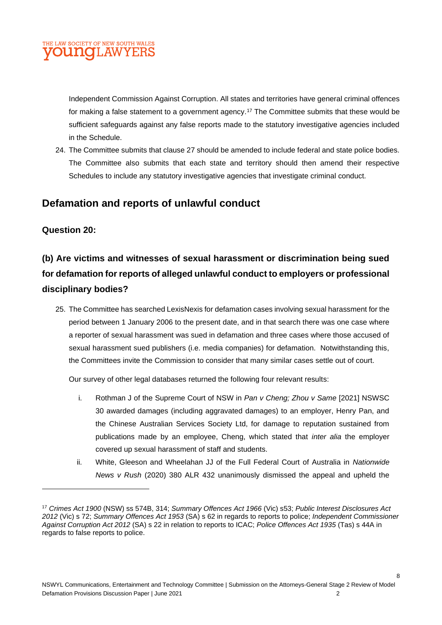#### LAW SOCIETY OF NEW SOUTH WALES DUNCILAW

Independent Commission Against Corruption. All states and territories have general criminal offences for making a false statement to a government agency.<sup>17</sup> The Committee submits that these would be sufficient safeguards against any false reports made to the statutory investigative agencies included in the Schedule.

24. The Committee submits that clause 27 should be amended to include federal and state police bodies. The Committee also submits that each state and territory should then amend their respective Schedules to include any statutory investigative agencies that investigate criminal conduct.

## **Defamation and reports of unlawful conduct**

#### **Question 20:**

# **(b) Are victims and witnesses of sexual harassment or discrimination being sued for defamation for reports of alleged unlawful conduct to employers or professional disciplinary bodies?**

25. The Committee has searched LexisNexis for defamation cases involving sexual harassment for the period between 1 January 2006 to the present date, and in that search there was one case where a reporter of sexual harassment was sued in defamation and three cases where those accused of sexual harassment sued publishers (i.e. media companies) for defamation. Notwithstanding this, the Committees invite the Commission to consider that many similar cases settle out of court.

Our survey of other legal databases returned the following four relevant results:

- i. Rothman J of the Supreme Court of NSW in *Pan v Cheng; Zhou v Same* [2021] NSWSC 30 awarded damages (including aggravated damages) to an employer, Henry Pan, and the Chinese Australian Services Society Ltd, for damage to reputation sustained from publications made by an employee, Cheng, which stated that *inter alia* the employer covered up sexual harassment of staff and students.
- ii. White, Gleeson and Wheelahan JJ of the Full Federal Court of Australia in *Nationwide News v Rush* (2020) 380 ALR 432 unanimously dismissed the appeal and upheld the

<sup>17</sup> *Crimes Act 1900* (NSW) ss 574B, 314; *Summary Offences Act 1966* (Vic) s53; *Public Interest Disclosures Act 2012* (Vic) s 72; *Summary Offences Act 1953* (SA) s 62 in regards to reports to police; *Independent Commissioner Against Corruption Act 2012* (SA) s 22 in relation to reports to ICAC; *Police Offences Act 1935* (Tas) s 44A in regards to false reports to police.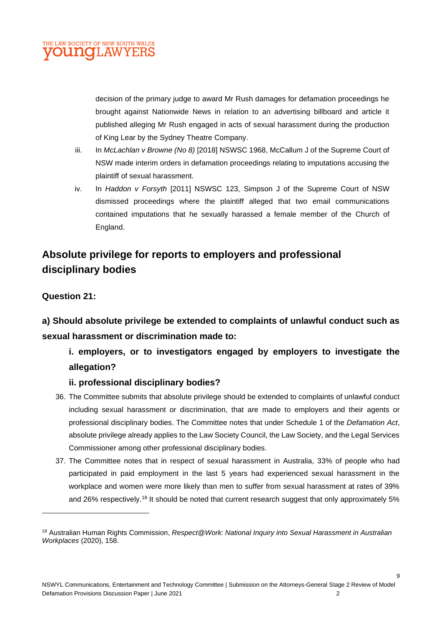

decision of the primary judge to award Mr Rush damages for defamation proceedings he brought against Nationwide News in relation to an advertising billboard and article it published alleging Mr Rush engaged in acts of sexual harassment during the production of King Lear by the Sydney Theatre Company.

- iii. In *McLachlan v Browne (No 8)* [2018] NSWSC 1968, McCallum J of the Supreme Court of NSW made interim orders in defamation proceedings relating to imputations accusing the plaintiff of sexual harassment.
- iv. In *Haddon v Forsyth* [2011] NSWSC 123, Simpson J of the Supreme Court of NSW dismissed proceedings where the plaintiff alleged that two email communications contained imputations that he sexually harassed a female member of the Church of England.

## **Absolute privilege for reports to employers and professional disciplinary bodies**

#### **Question 21:**

**a) Should absolute privilege be extended to complaints of unlawful conduct such as sexual harassment or discrimination made to:** 

**i. employers, or to investigators engaged by employers to investigate the allegation?** 

#### **ii. professional disciplinary bodies?**

- 36. The Committee submits that absolute privilege should be extended to complaints of unlawful conduct including sexual harassment or discrimination, that are made to employers and their agents or professional disciplinary bodies. The Committee notes that under Schedule 1 of the *Defamation Act*, absolute privilege already applies to the Law Society Council, the Law Society, and the Legal Services Commissioner among other professional disciplinary bodies.
- 37. The Committee notes that in respect of sexual harassment in Australia, 33% of people who had participated in paid employment in the last 5 years had experienced sexual harassment in the workplace and women were more likely than men to suffer from sexual harassment at rates of 39% and 26% respectively.<sup>18</sup> It should be noted that current research suggest that only approximately 5%

<sup>18</sup> Australian Human Rights Commission, *Respect@Work: National Inquiry into Sexual Harassment in Australian Workplaces* (2020), 158.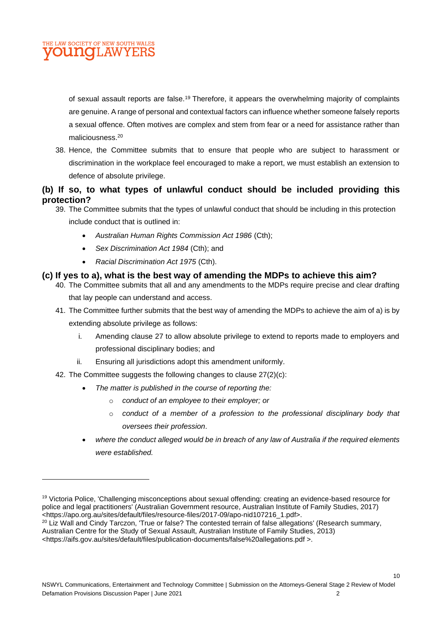

of sexual assault reports are false.<sup>19</sup> Therefore, it appears the overwhelming majority of complaints are genuine. A range of personal and contextual factors can influence whether someone falsely reports a sexual offence. Often motives are complex and stem from fear or a need for assistance rather than maliciousness.<sup>20</sup>

38. Hence, the Committee submits that to ensure that people who are subject to harassment or discrimination in the workplace feel encouraged to make a report, we must establish an extension to defence of absolute privilege.

#### **(b) If so, to what types of unlawful conduct should be included providing this protection?**

39. The Committee submits that the types of unlawful conduct that should be including in this protection

include conduct that is outlined in:

- *Australian Human Rights Commission Act 1986* (Cth);
- *Sex Discrimination Act 1984* (Cth); and
- *Racial Discrimination Act 1975* (Cth).

#### **(c) If yes to a), what is the best way of amending the MDPs to achieve this aim?**

- 40. The Committee submits that all and any amendments to the MDPs require precise and clear drafting that lay people can understand and access.
- 41. The Committee further submits that the best way of amending the MDPs to achieve the aim of a) is by extending absolute privilege as follows:
	- i. Amending clause 27 to allow absolute privilege to extend to reports made to employers and professional disciplinary bodies; and
	- ii. Ensuring all jurisdictions adopt this amendment uniformly.
- 42. The Committee suggests the following changes to clause 27(2)(c):
	- *The matter is published in the course of reporting the:*
		- o *conduct of an employee to their employer; or*
		- o *conduct of a member of a profession to the professional disciplinary body that oversees their profession*.

10

• *where the conduct alleged would be in breach of any law of Australia if the required elements were established.*

<sup>&</sup>lt;sup>19</sup> Victoria Police, 'Challenging misconceptions about sexual offending: creating an evidence-based resource for police and legal practitioners' (Australian Government resource, Australian Institute of Family Studies, 2017) <https://apo.org.au/sites/default/files/resource-files/2017-09/apo-nid107216\_1.pdf>.

<sup>&</sup>lt;sup>20</sup> Liz Wall and Cindy Tarczon, 'True or false? The contested terrain of false allegations' (Research summary, Australian Centre for the Study of Sexual Assault, Australian Institute of Family Studies, 2013)

<sup>&</sup>lt;https://aifs.gov.au/sites/default/files/publication-documents/false%20allegations.pdf >.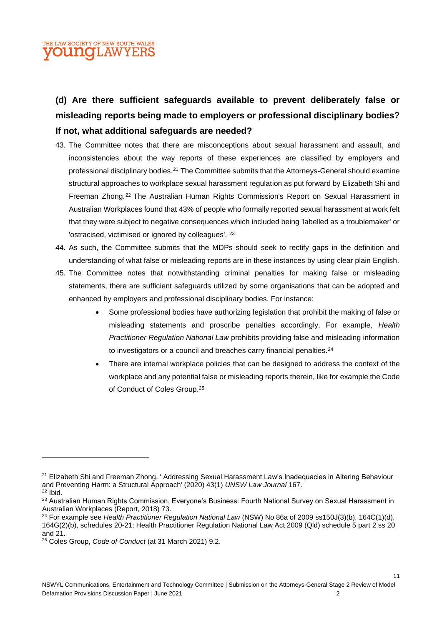# **(d) Are there sufficient safeguards available to prevent deliberately false or misleading reports being made to employers or professional disciplinary bodies? If not, what additional safeguards are needed?**

- 43. The Committee notes that there are misconceptions about sexual harassment and assault, and inconsistencies about the way reports of these experiences are classified by employers and professional disciplinary bodies.<sup>21</sup> The Committee submits that the Attorneys-General should examine structural approaches to workplace sexual harassment regulation as put forward by Elizabeth Shi and Freeman Zhong.<sup>22</sup> The Australian Human Rights Commission's Report on Sexual Harassment in Australian Workplaces found that 43% of people who formally reported sexual harassment at work felt that they were subject to negative consequences which included being 'labelled as a troublemaker' or 'ostracised, victimised or ignored by colleagues'. <sup>23</sup>
- 44. As such, the Committee submits that the MDPs should seek to rectify gaps in the definition and understanding of what false or misleading reports are in these instances by using clear plain English.
- 45. The Committee notes that notwithstanding criminal penalties for making false or misleading statements, there are sufficient safeguards utilized by some organisations that can be adopted and enhanced by employers and professional disciplinary bodies. For instance:
	- Some professional bodies have authorizing legislation that prohibit the making of false or misleading statements and proscribe penalties accordingly. For example, *Health Practitioner Regulation National Law* prohibits providing false and misleading information to investigators or a council and breaches carry financial penalties.<sup>24</sup>
	- There are internal workplace policies that can be designed to address the context of the workplace and any potential false or misleading reports therein, like for example the Code of Conduct of Coles Group.<sup>25</sup>

<sup>&</sup>lt;sup>21</sup> Elizabeth Shi and Freeman Zhong, ' Addressing Sexual Harassment Law's Inadequacies in Altering Behaviour and Preventing Harm: a Structural Approach' (2020) 43(1) *UNSW Law Journal* 167.  $22$  Ibid.

<sup>&</sup>lt;sup>23</sup> Australian Human Rights Commission, Everyone's Business: Fourth National Survey on Sexual Harassment in Australian Workplaces (Report, 2018) 73.

<sup>24</sup> For example see *Health Practitioner Regulation National Law* (NSW) No 86a of 2009 ss150J(3)(b), 164C(1)(d), 164G(2)(b), schedules 20-21; Health Practitioner Regulation National Law Act 2009 (Qld) schedule 5 part 2 ss 20 and 21.

<sup>25</sup> Coles Group, *Code of Conduct* (at 31 March 2021) 9.2.